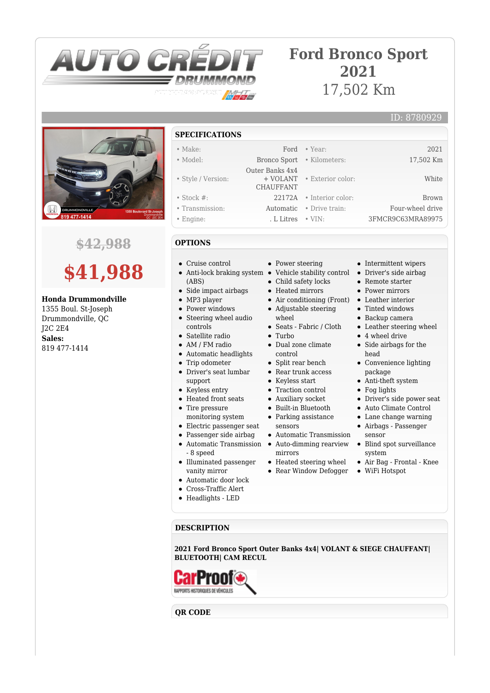

## **Ford Bronco Sport 2021** 17,502 Km

ID: 8780929



### **\$42,988**

# **\$41,988**

#### **Honda Drummondville**

1355 Boul. St-Joseph Drummondville, QC J2C 2E4 **Sales:** 819 477-1414

- **SPECIFICATIONS**
- Make: Ford Year: 2021 • Model: Bronco Sport • Kilometers: 17,502 Km • Style / Version: Outer Banks 4x4 + VOLANT CHAUFFANT • Exterior color: White • Stock #: 22172A • Interior color: Brown • Transmission: Automatic • Drive train: Four-wheel drive • Engine: . L Litres • VIN: 3FMCR9C63MRA89975

### **OPTIONS**

- Cruise control
- Anti-lock braking system Vehicle stability control Driver's side airbag (ABS)
- Side impact airbags
- MP3 player
- Power windows
- Steering wheel audio controls
- Satellite radio
- AM / FM radio
- Automatic headlights
- Trip odometer  $\bullet$
- Driver's seat lumbar support
- Keyless entry
- Heated front seats
- Tire pressure monitoring system
- Electric passenger seat
- Passenger side airbag
- Automatic Transmission Auto-dimming rearview
- 8 speed
- Illuminated passenger
- vanity mirror Automatic door lock
- Cross-Traffic Alert
- 
- Headlights LED
- Power steering
- Child safety locks
- Heated mirrors
- 
- Adjustable steering
- wheel Seats - Fabric / Cloth
- Turbo
- Dual zone climate
	- control
	- Split rear bench • Rear trunk access
	- Keyless start
	- Traction control
	- Auxiliary socket
	- Built-in Bluetooth
	- Parking assistance
	- sensors
	- Automatic Transmission
	-
	- mirrors
	- Heated steering wheel
	- Rear Window Defogger
- Intermittent wipers
- Remote starter
- Power mirrors
- Air conditioning (Front) Leather interior
	- Tinted windows
	- Backup camera
	- Leather steering wheel
	- 4 wheel drive
	- Side airbags for the head
	- Convenience lighting package
	- Anti-theft system
	- Fog lights
	- Driver's side power seat
	- Auto Climate Control
	- Lane change warning
	- Airbags Passenger sensor
	- Blind spot surveillance system
	- Air Bag Frontal Knee
	- WiFi Hotspot

**DESCRIPTION**

**2021 Ford Bronco Sport Outer Banks 4x4| VOLANT & SIEGE CHAUFFANT| BLUETOOTH| CAM RECUL**



**QR CODE**